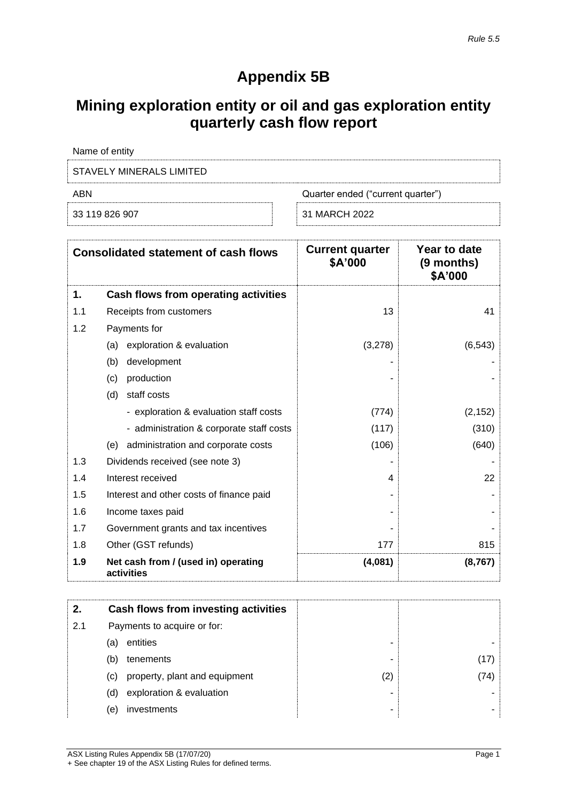## **Appendix 5B**

## **Mining exploration entity or oil and gas exploration entity quarterly cash flow report**

| Name of entity           |                                   |
|--------------------------|-----------------------------------|
| STAVELY MINERALS LIMITED |                                   |
| ABN                      | Quarter ended ("current quarter") |
| 33 119 826 907           | 31 MARCH 2022                     |

|     | <b>Consolidated statement of cash flows</b>       | <b>Current quarter</b><br>\$A'000 | Year to date<br>(9 months)<br>\$A'000 |
|-----|---------------------------------------------------|-----------------------------------|---------------------------------------|
| 1.  | Cash flows from operating activities              |                                   |                                       |
| 1.1 | Receipts from customers                           | 13                                | 41                                    |
| 1.2 | Payments for                                      |                                   |                                       |
|     | exploration & evaluation<br>(a)                   | (3,278)                           | (6, 543)                              |
|     | (b)<br>development                                |                                   |                                       |
|     | production<br>(c)                                 |                                   |                                       |
|     | staff costs<br>(d)                                |                                   |                                       |
|     | - exploration & evaluation staff costs            | (774)                             | (2, 152)                              |
|     | - administration & corporate staff costs          | (117)                             | (310)                                 |
|     | administration and corporate costs<br>(e)         | (106)                             | (640)                                 |
| 1.3 | Dividends received (see note 3)                   |                                   |                                       |
| 1.4 | Interest received                                 | 4                                 | 22                                    |
| 1.5 | Interest and other costs of finance paid          |                                   |                                       |
| 1.6 | Income taxes paid                                 |                                   |                                       |
| 1.7 | Government grants and tax incentives              |                                   |                                       |
| 1.8 | Other (GST refunds)                               | 177                               | 815                                   |
| 1.9 | Net cash from / (used in) operating<br>activities | (4,081)                           | (8, 767)                              |

| 2.  | Cash flows from investing activities |     |       |
|-----|--------------------------------------|-----|-------|
| 2.1 | Payments to acquire or for:          |     |       |
|     | entities<br>(a)                      | -   |       |
|     | tenements<br>(b)                     | -   |       |
|     | property, plant and equipment<br>(c) | (2) | '74). |
|     | exploration & evaluation<br>(d)      | -   |       |
|     | investments<br>(e)                   | -   |       |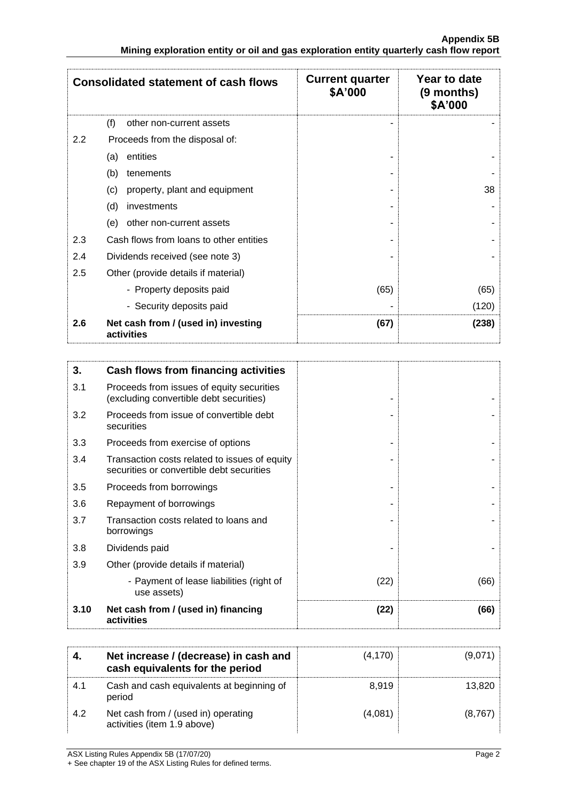|         | <b>Consolidated statement of cash flows</b>       | <b>Current quarter</b><br>\$A'000 | Year to date<br>(9 months)<br>\$A'000 |
|---------|---------------------------------------------------|-----------------------------------|---------------------------------------|
|         | (f)<br>other non-current assets                   |                                   |                                       |
| $2.2\,$ | Proceeds from the disposal of:                    |                                   |                                       |
|         | entities<br>(a)                                   |                                   |                                       |
|         | (b)<br>tenements                                  |                                   |                                       |
|         | property, plant and equipment<br>(c)              |                                   | 38                                    |
|         | investments<br>(d)                                |                                   |                                       |
|         | other non-current assets<br>(e)                   |                                   |                                       |
| 2.3     | Cash flows from loans to other entities           |                                   |                                       |
| 2.4     | Dividends received (see note 3)                   |                                   |                                       |
| 2.5     | Other (provide details if material)               |                                   |                                       |
|         | - Property deposits paid                          | (65)                              | (65)                                  |
|         | - Security deposits paid                          |                                   | (120)                                 |
| 2.6     | Net cash from / (used in) investing<br>activities | (67)                              | (238)                                 |

| 3.   | Cash flows from financing activities                                                       |      |      |
|------|--------------------------------------------------------------------------------------------|------|------|
| 3.1  | Proceeds from issues of equity securities<br>(excluding convertible debt securities)       |      |      |
| 3.2  | Proceeds from issue of convertible debt<br>securities                                      |      |      |
| 3.3  | Proceeds from exercise of options                                                          |      |      |
| 3.4  | Transaction costs related to issues of equity<br>securities or convertible debt securities |      |      |
| 3.5  | Proceeds from borrowings                                                                   |      |      |
| 3.6  | Repayment of borrowings                                                                    |      |      |
| 3.7  | Transaction costs related to loans and<br>borrowings                                       |      |      |
| 3.8  | Dividends paid                                                                             |      |      |
| 3.9  | Other (provide details if material)                                                        |      |      |
|      | - Payment of lease liabilities (right of<br>use assets)                                    | (22) | (66) |
| 3.10 | Net cash from / (used in) financing<br>activities                                          | (22) | (66) |

|     | Net increase / (decrease) in cash and<br>cash equivalents for the period | (4, 170) | (9,071) |
|-----|--------------------------------------------------------------------------|----------|---------|
| 4.1 | Cash and cash equivalents at beginning of<br>period                      | 8.919    | 13,820  |
| 4.2 | Net cash from / (used in) operating<br>activities (item 1.9 above)       | (4,081)  | (8,767) |

ASX Listing Rules Appendix 5B (17/07/20) Page 2

+ See chapter 19 of the ASX Listing Rules for defined terms.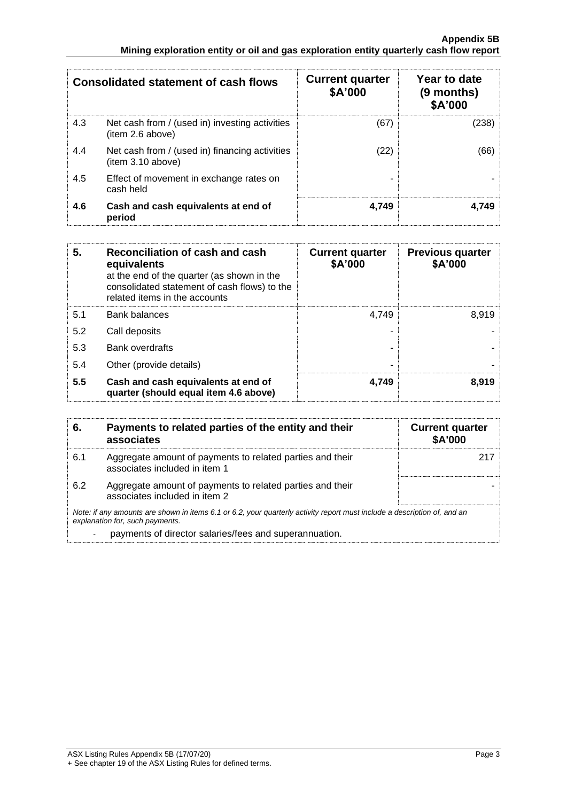|     | <b>Consolidated statement of cash flows</b>                        | <b>Current quarter</b><br>\$A'000 | Year to date<br>(9 months)<br>\$A'000 |
|-----|--------------------------------------------------------------------|-----------------------------------|---------------------------------------|
| 4.3 | Net cash from / (used in) investing activities<br>(item 2.6 above) | (67)                              | (238)                                 |
| 4.4 | Net cash from / (used in) financing activities<br>item 3.10 above) | (22)                              | (66)                                  |
| 4.5 | Effect of movement in exchange rates on<br>cash held               |                                   |                                       |
| 4.6 | Cash and cash equivalents at end of<br>period                      | 4.749                             | 4.749                                 |

| 5.  | Reconciliation of cash and cash<br>equivalents<br>at the end of the quarter (as shown in the<br>consolidated statement of cash flows) to the<br>related items in the accounts | <b>Current quarter</b><br>\$A'000 | <b>Previous quarter</b><br>\$A'000 |
|-----|-------------------------------------------------------------------------------------------------------------------------------------------------------------------------------|-----------------------------------|------------------------------------|
| 5.1 | <b>Bank balances</b>                                                                                                                                                          | 4.749                             | 8.919                              |
| 5.2 | Call deposits                                                                                                                                                                 |                                   |                                    |
| 5.3 | <b>Bank overdrafts</b>                                                                                                                                                        |                                   |                                    |
| 5.4 | Other (provide details)                                                                                                                                                       |                                   |                                    |
| 5.5 | Cash and cash equivalents at end of<br>quarter (should equal item 4.6 above)                                                                                                  | 4,749                             | 8.919                              |

| 6.  | Payments to related parties of the entity and their<br>associates                                                                                           | <b>Current quarter</b><br><b>\$A'000</b> |
|-----|-------------------------------------------------------------------------------------------------------------------------------------------------------------|------------------------------------------|
| 6.1 | Aggregate amount of payments to related parties and their<br>associates included in item 1                                                                  |                                          |
| 6.2 | Aggregate amount of payments to related parties and their<br>associates included in item 2                                                                  |                                          |
|     | Note: if any amounts are shown in items 6.1 or 6.2, your quarterly activity report must include a description of, and an<br>explanation for, such payments. |                                          |
|     | payments of director salaries/fees and superannuation.                                                                                                      |                                          |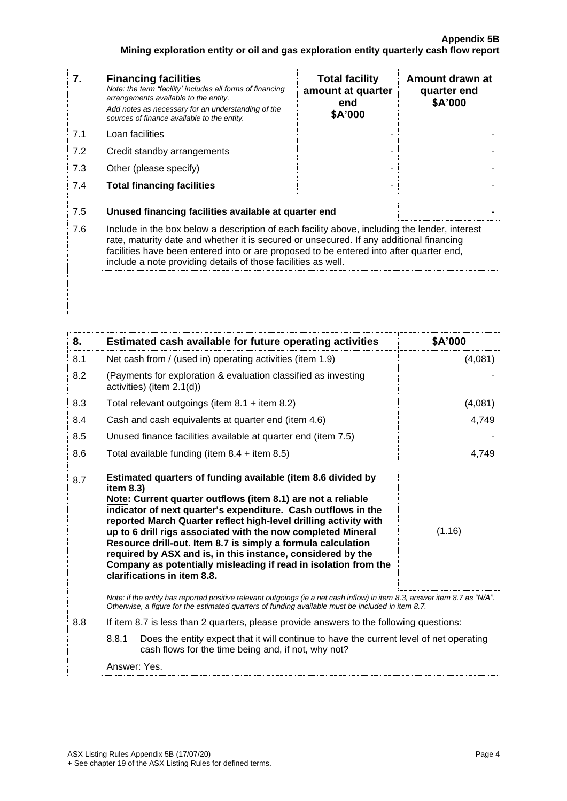| 7.  | <b>Financing facilities</b><br>Note: the term "facility' includes all forms of financing<br>arrangements available to the entity.<br>Add notes as necessary for an understanding of the<br>sources of finance available to the entity.                                                                                                               | <b>Total facility</b><br>amount at quarter<br>end<br>\$A'000 | Amount drawn at<br>quarter end<br>\$A'000 |
|-----|------------------------------------------------------------------------------------------------------------------------------------------------------------------------------------------------------------------------------------------------------------------------------------------------------------------------------------------------------|--------------------------------------------------------------|-------------------------------------------|
| 7.1 | Loan facilities                                                                                                                                                                                                                                                                                                                                      |                                                              |                                           |
| 7.2 | Credit standby arrangements                                                                                                                                                                                                                                                                                                                          |                                                              |                                           |
| 7.3 | Other (please specify)                                                                                                                                                                                                                                                                                                                               |                                                              |                                           |
| 7.4 | <b>Total financing facilities</b>                                                                                                                                                                                                                                                                                                                    | ۰                                                            |                                           |
| 7.5 | Unused financing facilities available at quarter end                                                                                                                                                                                                                                                                                                 |                                                              |                                           |
| 7.6 | Include in the box below a description of each facility above, including the lender, interest<br>rate, maturity date and whether it is secured or unsecured. If any additional financing<br>facilities have been entered into or are proposed to be entered into after quarter end,<br>include a note providing details of those facilities as well. |                                                              |                                           |
|     |                                                                                                                                                                                                                                                                                                                                                      |                                                              |                                           |

| 8.  | Estimated cash available for future operating activities                                                                                                                                                                                                                                                                                                                                                                                                                                                                                                                        | \$A'000 |
|-----|---------------------------------------------------------------------------------------------------------------------------------------------------------------------------------------------------------------------------------------------------------------------------------------------------------------------------------------------------------------------------------------------------------------------------------------------------------------------------------------------------------------------------------------------------------------------------------|---------|
| 8.1 | Net cash from / (used in) operating activities (item 1.9)                                                                                                                                                                                                                                                                                                                                                                                                                                                                                                                       | (4,081) |
| 8.2 | (Payments for exploration & evaluation classified as investing<br>activities) (item 2.1(d))                                                                                                                                                                                                                                                                                                                                                                                                                                                                                     |         |
| 8.3 | Total relevant outgoings (item $8.1 +$ item $8.2$ )                                                                                                                                                                                                                                                                                                                                                                                                                                                                                                                             | (4,081) |
| 8.4 | Cash and cash equivalents at quarter end (item 4.6)                                                                                                                                                                                                                                                                                                                                                                                                                                                                                                                             | 4,749   |
| 8.5 | Unused finance facilities available at quarter end (item 7.5)                                                                                                                                                                                                                                                                                                                                                                                                                                                                                                                   |         |
| 8.6 | Total available funding (item $8.4 +$ item $8.5$ )                                                                                                                                                                                                                                                                                                                                                                                                                                                                                                                              | 4,749   |
| 8.7 | Estimated quarters of funding available (item 8.6 divided by<br>item 8.3)<br>Note: Current quarter outflows (item 8.1) are not a reliable<br>indicator of next quarter's expenditure. Cash outflows in the<br>reported March Quarter reflect high-level drilling activity with<br>up to 6 drill rigs associated with the now completed Mineral<br>Resource drill-out. Item 8.7 is simply a formula calculation<br>required by ASX and is, in this instance, considered by the<br>Company as potentially misleading if read in isolation from the<br>clarifications in item 8.8. | (1.16)  |
|     | Note: if the entity has reported positive relevant outgoings (ie a net cash inflow) in item 8.3, answer item 8.7 as "N/A".<br>Otherwise, a figure for the estimated quarters of funding available must be included in item 8.7.                                                                                                                                                                                                                                                                                                                                                 |         |
| 8.8 | If item 8.7 is less than 2 quarters, please provide answers to the following questions:                                                                                                                                                                                                                                                                                                                                                                                                                                                                                         |         |
|     | 8.8.1<br>Does the entity expect that it will continue to have the current level of net operating<br>cash flows for the time being and, if not, why not?                                                                                                                                                                                                                                                                                                                                                                                                                         |         |
|     | Answer: Yes.                                                                                                                                                                                                                                                                                                                                                                                                                                                                                                                                                                    |         |